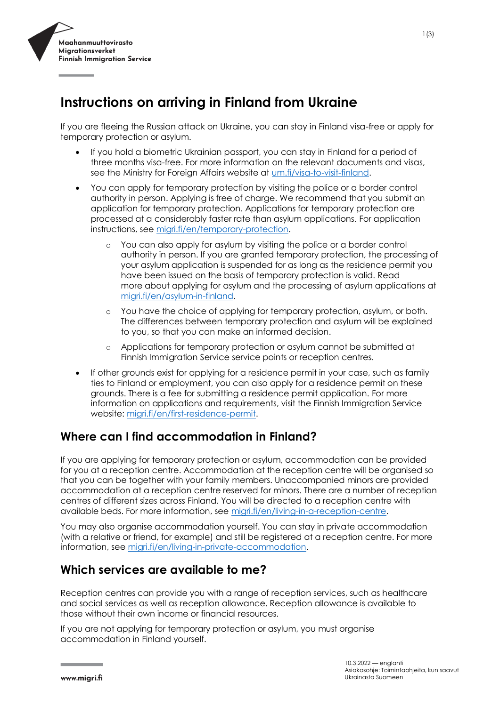

# **Instructions on arriving in Finland from Ukraine**

If you are fleeing the Russian attack on Ukraine, you can stay in Finland visa-free or apply for temporary protection or asylum.

- If you hold a biometric Ukrainian passport, you can stay in Finland for a period of three months visa-free. For more information on the relevant documents and visas, see the Ministry for Foreign Affairs website at [um.fi/visa-to-visit-finland.](https://um.fi/visa-to-visit-finland)
- You can apply for temporary protection by visiting the police or a border control authority in person. Applying is free of charge. We recommend that you submit an application for temporary protection. Applications for temporary protection are processed at a considerably faster rate than asylum applications. For application instructions, see [migri.fi/en/temporary-protection.](https://migri.fi/en/temporary-protection)
	- o You can also apply for asylum by visiting the police or a border control authority in person. If you are granted temporary protection, the processing of your asylum application is suspended for as long as the residence permit you have been issued on the basis of temporary protection is valid. Read more [about applying for asylum and the processing of asylum applications a](https://migri.fi/en/asylum-in-finland)t [migri.fi/en/asylum-in-finland.](https://migri.fi/en/asylum-in-finland)
	- o You have the choice of applying for temporary protection, asylum, or both. The differences between temporary protection and asylum will be explained to you, so that you can make an informed decision.
	- o Applications for temporary protection or asylum cannot be submitted at Finnish Immigration Service service points or reception centres.
- If other grounds exist for applying for a residence permit in your case, such as family ties to Finland or employment, you can also apply for a residence permit on these grounds. There is a fee for submitting a residence permit application. For more information on applications and requirements, visit the Finnish Immigration Service website: [migri.fi/en/first-residence-permit.](https://migri.fi/en/first-residence-permit)

### **Where can I find accommodation in Finland?**

If you are applying for temporary protection or asylum, accommodation can be provided for you at a reception centre. Accommodation at the reception centre will be organised so that you can be together with your family members. Unaccompanied minors are provided accommodation at a reception centre reserved for minors. There are a number of reception centres of different sizes across Finland. You will be directed to a reception centre with available beds. For more information, see [migri.fi/en/living-in-a-reception-centre.](https://migri.fi/en/living-in-a-reception-centre)

You may also organise accommodation yourself. You can stay in private accommodation (with a relative or friend, for example) and still be registered at a reception centre. For more information, see [migri.fi/en/living-in-private-accommodation.](https://migri.fi/en/living-in-private-accommodation)

### **Which services are available to me?**

Reception centres can provide you with a range of reception services, such as healthcare and social services as well as reception allowance. Reception allowance is available to those without their own income or financial resources.

If you are not applying for temporary protection or asylum, you must organise accommodation in Finland yourself.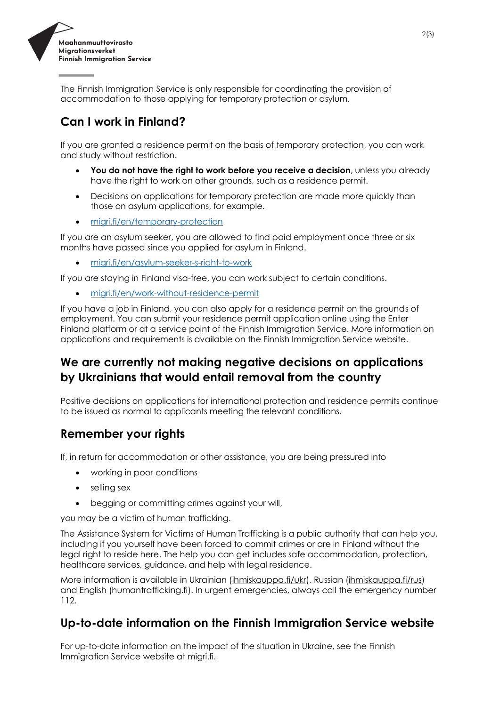

The Finnish Immigration Service is only responsible for coordinating the provision of accommodation to those applying for temporary protection or asylum.

## **Can I work in Finland?**

If you are granted a residence permit on the basis of temporary protection, you can work and study without restriction.

- You do not have the right to work before you receive a decision, unless you already have the right to work on other grounds, such as a residence permit.
- Decisions on applications for temporary protection are made more quickly than those on asylum applications, for example.
- [migri.fi/en/temporary-protection](https://migri.fi/en/temporary-protection)

If you are an asylum seeker, you are allowed to find paid employment once three or six months have passed since you applied for asylum in Finland.

• [migri.fi/en/asylum-seeker-s-right-to-work](https://migri.fi/en/asylum-seeker-s-right-to-work)

If you are staying in Finland visa-free, you can work subject to certain conditions.

• [migri.fi/en/work-without-residence-permit](https://migri.fi/en/work-without-residence-permit)

If you have a job in Finland, you can also apply for a residence permit on the grounds of employment. You can submit your residence permit application online using the Enter Finland platform or at a service point of the Finnish Immigration Service. More information on applications and requirements is available on the Finnish Immigration Service website.

### **We are currently not making negative decisions on applications by Ukrainians that would entail removal from the country**

Positive decisions on applications for international protection and residence permits continue to be issued as normal to applicants meeting the relevant conditions.

### **Remember your rights**

If, in return for accommodation or other assistance, you are being pressured into

- working in poor conditions
- selling sex
- begging or committing crimes against your will,

you may be a victim of human trafficking.

The Assistance System for Victims of Human Trafficking is a public authority that can help you, including if you yourself have been forced to commit crimes or are in Finland without the legal right to reside here. The help you can get includes safe accommodation, protection, healthcare services, guidance, and help with legal residence.

More information is available in Ukrainian [\(ihmiskauppa.fi/ukr\)](http://www.ihmiskauppa.fi/ukr), Russian [\(ihmiskauppa.fi/rus\)](https://www.ihmiskauppa.fi/ihmiskauppa/kieliversiot/na_russkom_(venaja)) and English [\(humantrafficking.fi\)](http://www.humantrafficking.fi/). In urgent emergencies, always call the emergency number 112.

#### **Up-to-date information on the Finnish Immigration Service website**

For up-to-date information on the impact of the situation in Ukraine, see the Finnish Immigration Service website at migri.fi.